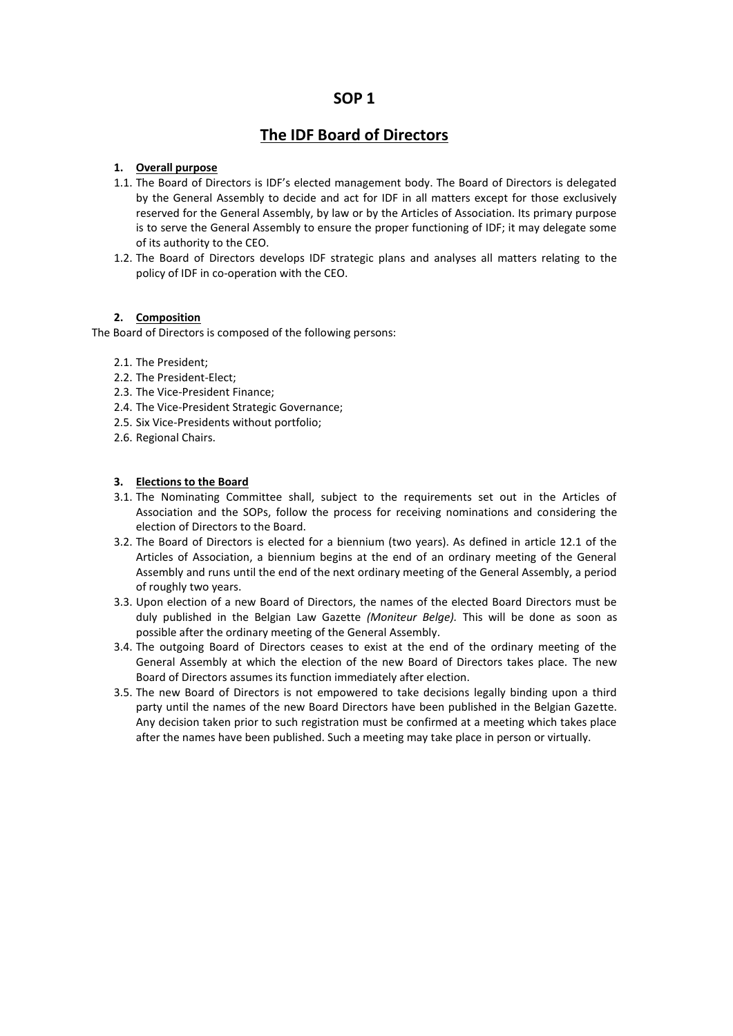# **SOP 1**

# **The IDF Board of Directors**

### **1. Overall purpose**

- 1.1. The Board of Directors is IDF's elected management body. The Board of Directors is delegated by the General Assembly to decide and act for IDF in all matters except for those exclusively reserved for the General Assembly, by law or by the Articles of Association. Its primary purpose is to serve the General Assembly to ensure the proper functioning of IDF; it may delegate some of its authority to the CEO.
- 1.2. The Board of Directors develops IDF strategic plans and analyses all matters relating to the policy of IDF in co-operation with the CEO.

## **2. Composition**

The Board of Directors is composed of the following persons:

- 2.1. The President;
- 2.2. The President-Elect;
- 2.3. The Vice-President Finance;
- 2.4. The Vice-President Strategic Governance;
- 2.5. Six Vice-Presidents without portfolio;
- 2.6. Regional Chairs.

#### **3. Elections to the Board**

- 3.1. The Nominating Committee shall, subject to the requirements set out in the Articles of Association and the SOPs, follow the process for receiving nominations and considering the election of Directors to the Board.
- 3.2. The Board of Directors is elected for a biennium (two years). As defined in article 12.1 of the Articles of Association, a biennium begins at the end of an ordinary meeting of the General Assembly and runs until the end of the next ordinary meeting of the General Assembly, a period of roughly two years.
- 3.3. Upon election of a new Board of Directors, the names of the elected Board Directors must be duly published in the Belgian Law Gazette *(Moniteur Belge).* This will be done as soon as possible after the ordinary meeting of the General Assembly.
- 3.4. The outgoing Board of Directors ceases to exist at the end of the ordinary meeting of the General Assembly at which the election of the new Board of Directors takes place. The new Board of Directors assumes its function immediately after election.
- 3.5. The new Board of Directors is not empowered to take decisions legally binding upon a third party until the names of the new Board Directors have been published in the Belgian Gazette. Any decision taken prior to such registration must be confirmed at a meeting which takes place after the names have been published. Such a meeting may take place in person or virtually.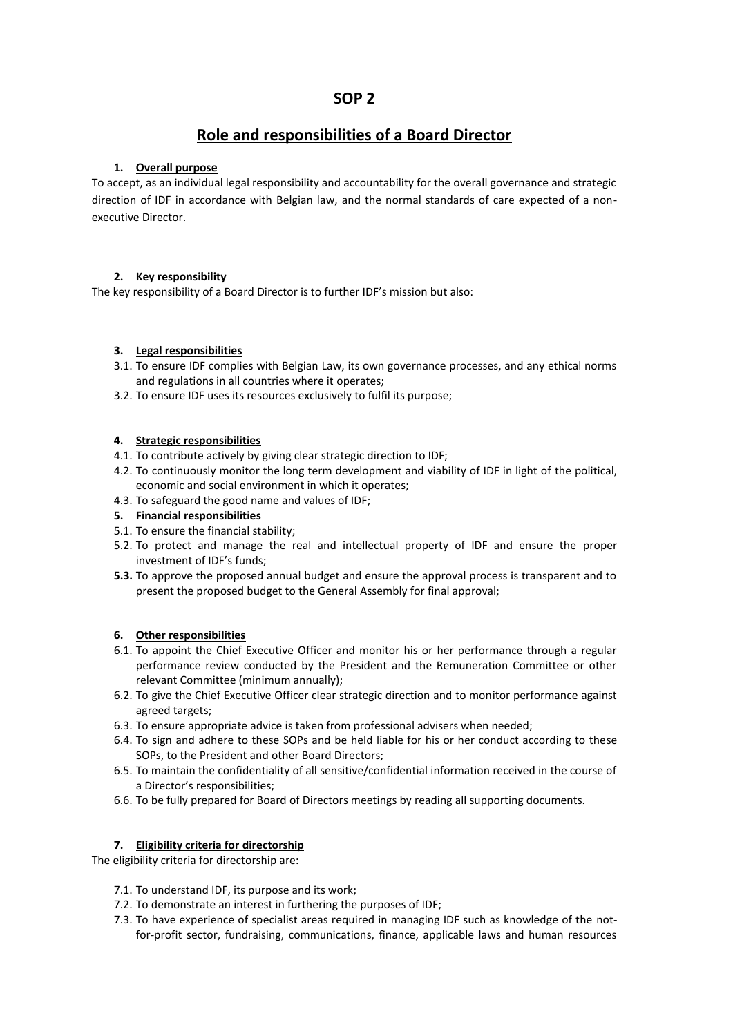# **Role and responsibilities of a Board Director**

## **1. Overall purpose**

To accept, as an individual legal responsibility and accountability for the overall governance and strategic direction of IDF in accordance with Belgian law, and the normal standards of care expected of a non executive Director.

## **2. Key responsibility**

The key responsibility of a Board Director is to further IDF's mission but also:

## **3. Legal responsibilities**

- 3.1. To ensure IDF complies with Belgian Law, its own governance processes, and any ethical norms and regulations in all countries where it operates;
- 3.2. To ensure IDF uses its resources exclusively to fulfil its purpose;

## **4. Strategic responsibilities**

- 4.1. To contribute actively by giving clear strategic direction to IDF;
- 4.2. To continuously monitor the long term development and viability of IDF in light of the political, economic and social environment in which it operates;
- 4.3. To safeguard the good name and values of IDF;
- **5. Financial responsibilities**
- 5.1. To ensure the financial stability;
- 5.2. To protect and manage the real and intellectual property of IDF and ensure the proper investment of IDF's funds;
- **5.3.** To approve the proposed annual budget and ensure the approval process is transparent and to present the proposed budget to the General Assembly for final approval;

## **6. Other responsibilities**

- 6.1. To appoint the Chief Executive Officer and monitor his or her performance through a regular performance review conducted by the President and the Remuneration Committee or other relevant Committee (minimum annually);
- 6.2. To give the Chief Executive Officer clear strategic direction and to monitor performance against agreed targets;
- 6.3. To ensure appropriate advice is taken from professional advisers when needed;
- 6.4. To sign and adhere to these SOPs and be held liable for his or her conduct according to these SOPs, to the President and other Board Directors;
- 6.5. To maintain the confidentiality of all sensitive/confidential information received in the course of a Director's responsibilities;
- 6.6. To be fully prepared for Board of Directors meetings by reading all supporting documents.

## **7. Eligibility criteria for directorship**

The eligibility criteria for directorship are:

- 7.1. To understand IDF, its purpose and its work;
- 7.2. To demonstrate an interest in furthering the purposes of IDF;
- 7.3. To have experience of specialist areas required in managing IDF such as knowledge of the notfor-profit sector, fundraising, communications, finance, applicable laws and human resources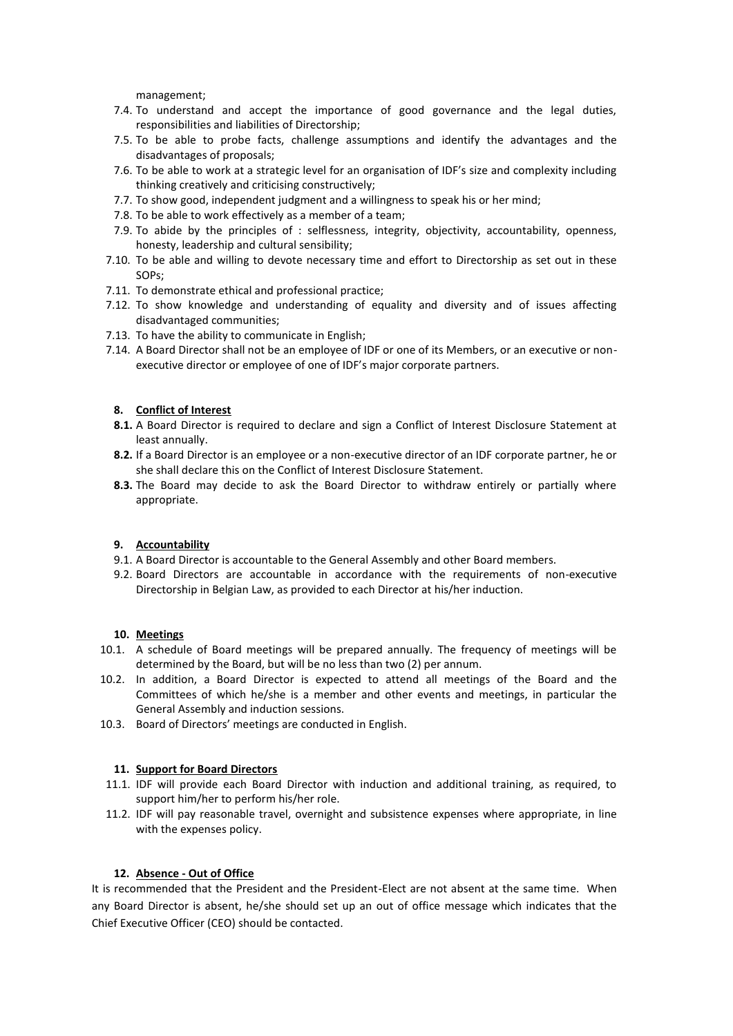management;

- 7.4. To understand and accept the importance of good governance and the legal duties, responsibilities and liabilities of Directorship;
- 7.5. To be able to probe facts, challenge assumptions and identify the advantages and the disadvantages of proposals;
- 7.6. To be able to work at a strategic level for an organisation of IDF's size and complexity including thinking creatively and criticising constructively;
- 7.7. To show good, independent judgment and a willingness to speak his or her mind;
- 7.8. To be able to work effectively as a member of a team;
- 7.9. To abide by the principles of : selflessness, integrity, objectivity, accountability, openness, honesty, leadership and cultural sensibility;
- 7.10. To be able and willing to devote necessary time and effort to Directorship as set out in these SOPs;
- 7.11. To demonstrate ethical and professional practice;
- 7.12. To show knowledge and understanding of equality and diversity and of issues affecting disadvantaged communities;
- 7.13. To have the ability to communicate in English;
- 7.14. A Board Director shall not be an employee of IDF or one of its Members, or an executive or non executive director or employee of one of IDF's major corporate partners.

#### **8. Conflict of Interest**

- **8.1.** A Board Director is required to declare and sign a Conflict of Interest Disclosure Statement at least annually.
- **8.2.** If a Board Director is an employee or a non-executive director of an IDF corporate partner, he or she shall declare this on the Conflict of Interest Disclosure Statement.
- **8.3.** The Board may decide to ask the Board Director to withdraw entirely or partially where appropriate.

#### **9. Accountability**

- 9.1. A Board Director is accountable to the General Assembly and other Board members.
- 9.2. Board Directors are accountable in accordance with the requirements of non-executive Directorship in Belgian Law, as provided to each Director at his/her induction.

#### **10. Meetings**

- 10.1. A schedule of Board meetings will be prepared annually. The frequency of meetings will be determined by the Board, but will be no less than two (2) per annum.
- 10.2. In addition, a Board Director is expected to attend all meetings of the Board and the Committees of which he/she is a member and other events and meetings, in particular the General Assembly and induction sessions.
- 10.3. Board of Directors' meetings are conducted in English.

#### **11. Support for Board Directors**

- 11.1. IDF will provide each Board Director with induction and additional training, as required, to support him/her to perform his/her role.
- 11.2. IDF will pay reasonable travel, overnight and subsistence expenses where appropriate, in line with the expenses policy.

#### **12. Absence - Out of Office**

It is recommended that the President and the President-Elect are not absent at the same time. When any Board Director is absent, he/she should set up an out of office message which indicates that the Chief Executive Officer (CEO) should be contacted.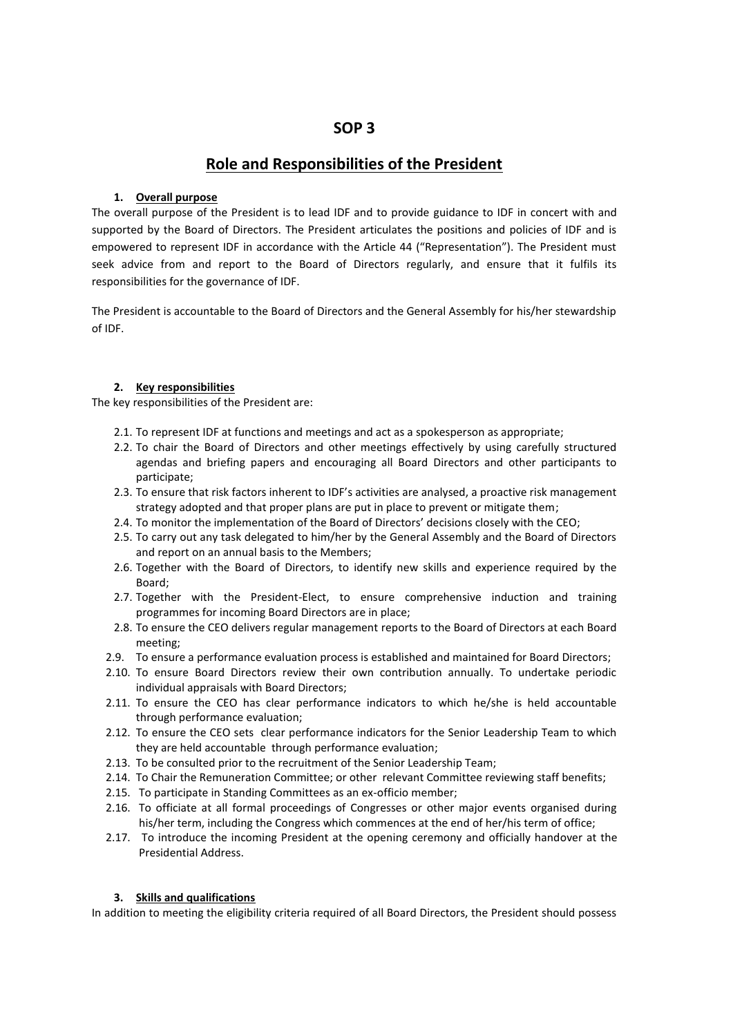# **SOP 3**

# **Role and Responsibilities of the President**

## **1. Overall purpose**

The overall purpose of the President is to lead IDF and to provide guidance to IDF in concert with and supported by the Board of Directors. The President articulates the positions and policies of IDF and is empowered to represent IDF in accordance with the Article 44 ("Representation"). The President must seek advice from and report to the Board of Directors regularly, and ensure that it fulfils its responsibilities for the governance of IDF.

The President is accountable to the Board of Directors and the General Assembly for his/her stewardship of IDF.

## **2. Key responsibilities**

The key responsibilities of the President are:

- 2.1. To represent IDF at functions and meetings and act as a spokesperson as appropriate;
- 2.2. To chair the Board of Directors and other meetings effectively by using carefully structured agendas and briefing papers and encouraging all Board Directors and other participants to participate;
- 2.3. To ensure that risk factors inherent to IDF's activities are analysed, a proactive risk management strategy adopted and that proper plans are put in place to prevent or mitigate them;
- 2.4. To monitor the implementation of the Board of Directors' decisions closely with the CEO;
- 2.5. To carry out any task delegated to him/her by the General Assembly and the Board of Directors and report on an annual basis to the Members;
- 2.6. Together with the Board of Directors, to identify new skills and experience required by the Board;
- 2.7. Together with the President-Elect, to ensure comprehensive induction and training programmes for incoming Board Directors are in place;
- 2.8. To ensure the CEO delivers regular management reports to the Board of Directors at each Board meeting;
- 2.9. To ensure a performance evaluation process is established and maintained for Board Directors;
- 2.10. To ensure Board Directors review their own contribution annually. To undertake periodic individual appraisals with Board Directors;
- 2.11. To ensure the CEO has clear performance indicators to which he/she is held accountable through performance evaluation;
- 2.12. To ensure the CEO sets clear performance indicators for the Senior Leadership Team to which they are held accountable through performance evaluation;
- 2.13. To be consulted prior to the recruitment of the Senior Leadership Team;
- 2.14. To Chair the Remuneration Committee; or other relevant Committee reviewing staff benefits;
- 2.15. To participate in Standing Committees as an ex-officio member;
- 2.16. To officiate at all formal proceedings of Congresses or other major events organised during his/her term, including the Congress which commences at the end of her/his term of office;
- 2.17. To introduce the incoming President at the opening ceremony and officially handover at the Presidential Address.

#### **3. Skills and qualifications**

In addition to meeting the eligibility criteria required of all Board Directors, the President should possess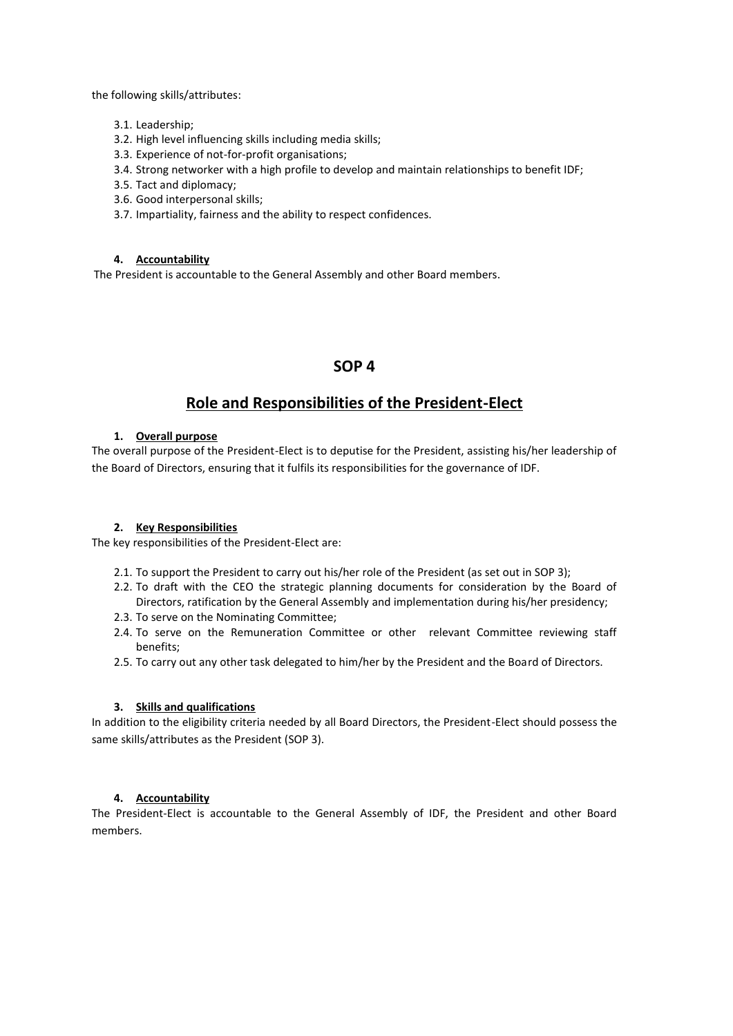the following skills/attributes:

- 3.1. Leadership;
- 3.2. High level influencing skills including media skills;
- 3.3. Experience of not-for-profit organisations;
- 3.4. Strong networker with a high profile to develop and maintain relationships to benefit IDF;
- 3.5. Tact and diplomacy;
- 3.6. Good interpersonal skills;
- 3.7. Impartiality, fairness and the ability to respect confidences.

#### **4. Accountability**

The President is accountable to the General Assembly and other Board members.

# **SOP 4**

# **Role and Responsibilities of the President-Elect**

## **1. Overall purpose**

The overall purpose of the President-Elect is to deputise for the President, assisting his/her leadership of the Board of Directors, ensuring that it fulfils its responsibilities for the governance of IDF.

#### **2. Key Responsibilities**

The key responsibilities of the President-Elect are:

- 2.1. To support the President to carry out his/her role of the President (as set out in SOP 3);
- 2.2. To draft with the CEO the strategic planning documents for consideration by the Board of Directors, ratification by the General Assembly and implementation during his/her presidency;
- 2.3. To serve on the Nominating Committee;
- 2.4. To serve on the Remuneration Committee or other relevant Committee reviewing staff benefits;
- 2.5. To carry out any other task delegated to him/her by the President and the Board of Directors.

#### **3. Skills and qualifications**

In addition to the eligibility criteria needed by all Board Directors, the President-Elect should possess the same skills/attributes as the President (SOP 3).

#### **4. Accountability**

The President-Elect is accountable to the General Assembly of IDF, the President and other Board members.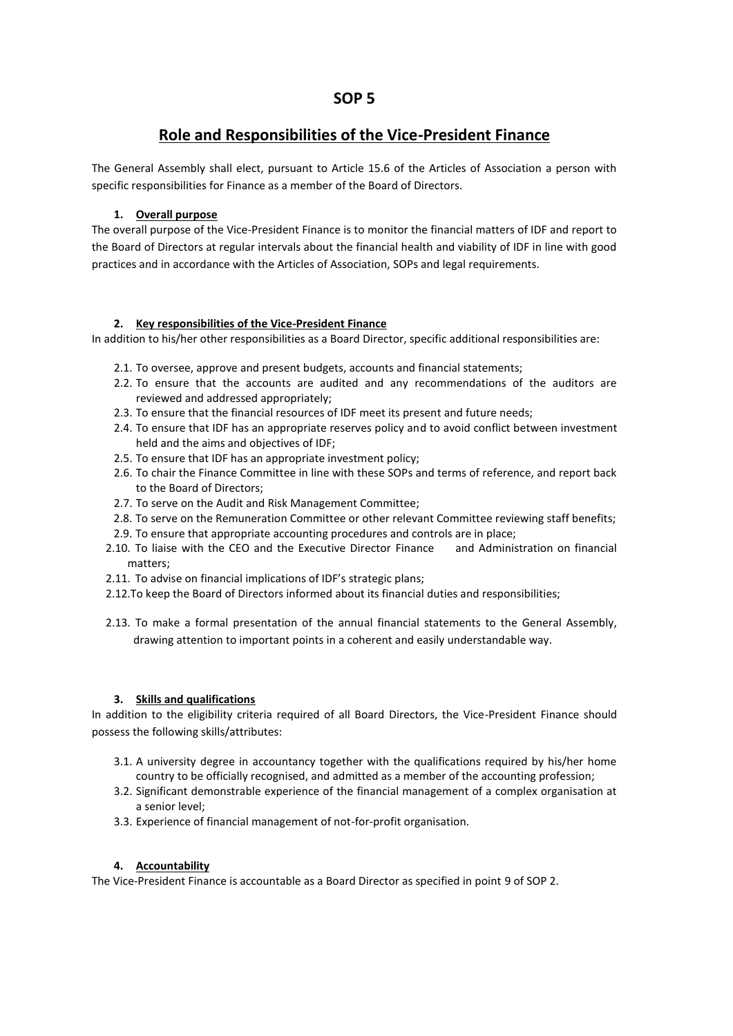# **Role and Responsibilities of the Vice-President Finance**

The General Assembly shall elect, pursuant to Article 15.6 of the Articles of Association a person with specific responsibilities for Finance as a member of the Board of Directors.

## **1. Overall purpose**

The overall purpose of the Vice-President Finance is to monitor the financial matters of IDF and report to the Board of Directors at regular intervals about the financial health and viability of IDF in line with good practices and in accordance with the Articles of Association, SOPs and legal requirements.

## **2. Key responsibilities of the Vice-President Finance**

In addition to his/her other responsibilities as a Board Director, specific additional responsibilities are:

- 2.1. To oversee, approve and present budgets, accounts and financial statements;
- 2.2. To ensure that the accounts are audited and any recommendations of the auditors are reviewed and addressed appropriately;
- 2.3. To ensure that the financial resources of IDF meet its present and future needs;
- 2.4. To ensure that IDF has an appropriate reserves policy and to avoid conflict between investment held and the aims and objectives of IDF;
- 2.5. To ensure that IDF has an appropriate investment policy;
- 2.6. To chair the Finance Committee in line with these SOPs and terms of reference, and report back to the Board of Directors;
- 2.7. To serve on the Audit and Risk Management Committee;
- 2.8. To serve on the Remuneration Committee or other relevant Committee reviewing staff benefits;
- 2.9. To ensure that appropriate accounting procedures and controls are in place;
- 2.10. To liaise with the CEO and the Executive Director Finance and Administration on financial matters;
- 2.11. To advise on financial implications of IDF's strategic plans;
- 2.12.To keep the Board of Directors informed about its financial duties and responsibilities;
- 2.13. To make a formal presentation of the annual financial statements to the General Assembly, drawing attention to important points in a coherent and easily understandable way.

## **3. Skills and qualifications**

In addition to the eligibility criteria required of all Board Directors, the Vice-President Finance should possess the following skills/attributes:

- 3.1. A university degree in accountancy together with the qualifications required by his/her home country to be officially recognised, and admitted as a member of the accounting profession;
- 3.2. Significant demonstrable experience of the financial management of a complex organisation at a senior level;
- 3.3. Experience of financial management of not-for-profit organisation.

### **4. Accountability**

The Vice-President Finance is accountable as a Board Director as specified in point 9 of SOP 2.